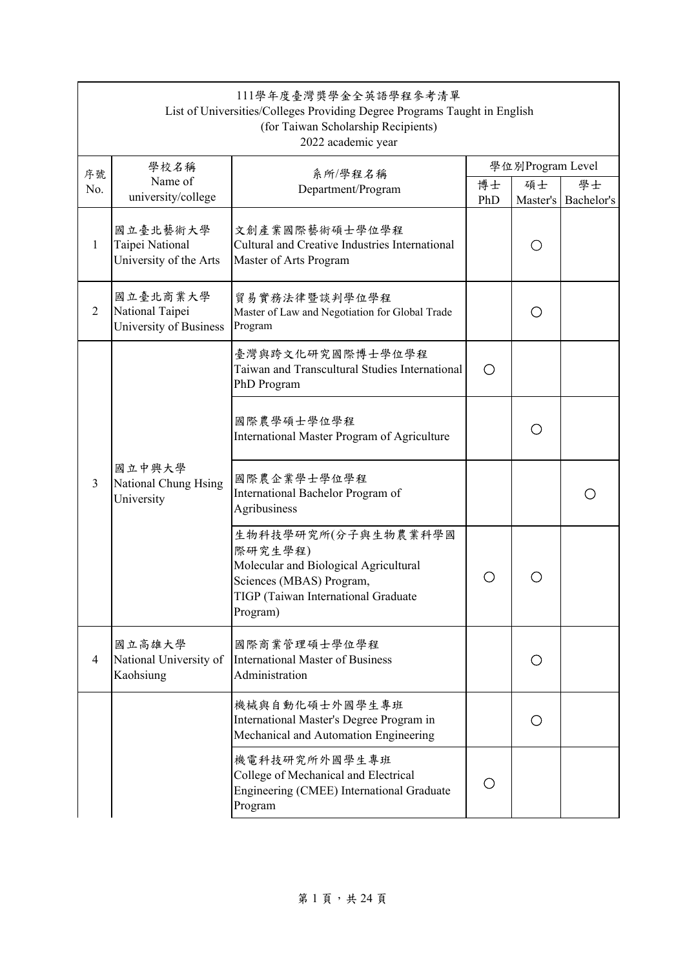| 111學年度臺灣獎學金全英語學程參考清單<br>List of Universities/Colleges Providing Degree Programs Taught in English<br>(for Taiwan Scholarship Recipients)<br>2022 academic year |                                                       |                                                                                                                                                        |           |                    |                  |  |  |  |
|----------------------------------------------------------------------------------------------------------------------------------------------------------------|-------------------------------------------------------|--------------------------------------------------------------------------------------------------------------------------------------------------------|-----------|--------------------|------------------|--|--|--|
|                                                                                                                                                                | 學校名稱                                                  | 系所/學程名稱                                                                                                                                                |           | 學位別Program Level   |                  |  |  |  |
| 序號<br>No.                                                                                                                                                      | Name of<br>university/college                         | Department/Program                                                                                                                                     | 博士<br>PhD | 碩士<br>Master's     | 學士<br>Bachelor's |  |  |  |
| $\mathbf{1}$                                                                                                                                                   | 國立臺北藝術大學<br>Taipei National<br>University of the Arts | 文創產業國際藝術碩士學位學程<br>Cultural and Creative Industries International<br>Master of Arts Program                                                             |           |                    |                  |  |  |  |
| $\overline{2}$                                                                                                                                                 | 國立臺北商業大學<br>National Taipei<br>University of Business | 貿易實務法律暨談判學位學程<br>Master of Law and Negotiation for Global Trade<br>Program                                                                             |           | Ο                  |                  |  |  |  |
|                                                                                                                                                                |                                                       | 臺灣與跨文化研究國際博士學位學程<br>Taiwan and Transcultural Studies International<br>PhD Program                                                                      | O         |                    |                  |  |  |  |
|                                                                                                                                                                |                                                       | 國際農學碩士學位學程<br>International Master Program of Agriculture                                                                                              |           | $\left( \ \right)$ |                  |  |  |  |
| 3                                                                                                                                                              | 國立中興大學<br>National Chung Hsing<br>University          | 國際農企業學士學位學程<br>International Bachelor Program of<br>Agribusiness                                                                                       |           |                    |                  |  |  |  |
|                                                                                                                                                                |                                                       | 生物科技學研究所(分子與生物農業科學國<br>際研究生學程)<br>Molecular and Biological Agricultural<br>Sciences (MBAS) Program,<br>TIGP (Taiwan International Graduate<br>Program) | Ο         |                    |                  |  |  |  |
| 4                                                                                                                                                              | 國立高雄大學<br>National University of<br>Kaohsiung         | 國際商業管理碩士學位學程<br><b>International Master of Business</b><br>Administration                                                                              |           | ( )                |                  |  |  |  |
|                                                                                                                                                                |                                                       | 機械與自動化碩士外國學生專班<br>International Master's Degree Program in<br>Mechanical and Automation Engineering                                                    |           | O                  |                  |  |  |  |
|                                                                                                                                                                |                                                       | 機電科技研究所外國學生專班<br>College of Mechanical and Electrical<br>Engineering (CMEE) International Graduate<br>Program                                          | Ο         |                    |                  |  |  |  |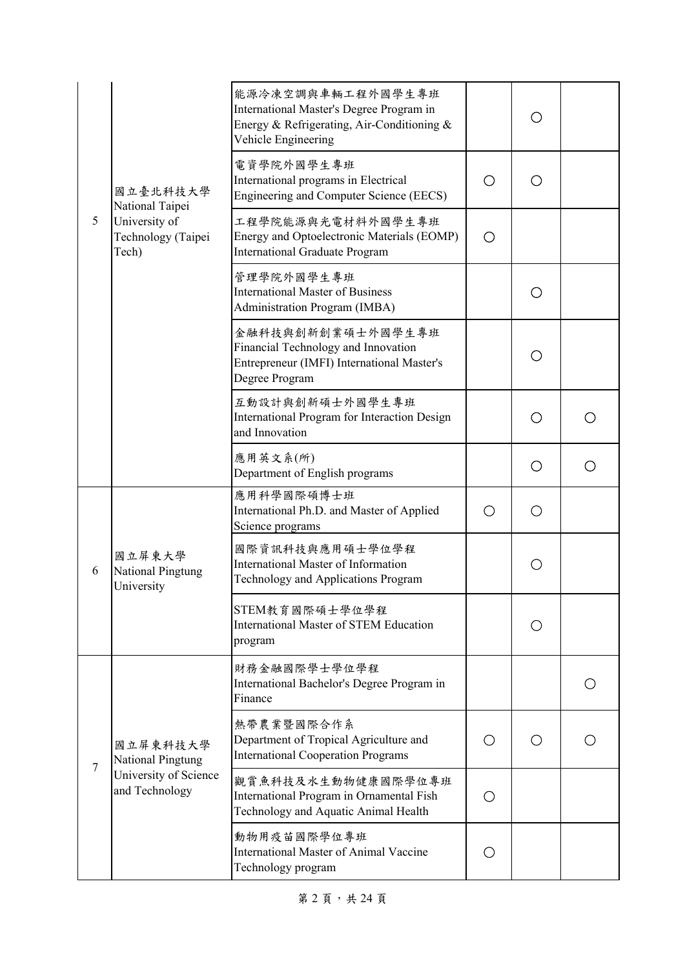|   |                                              | 能源冷凍空調與車輛工程外國學生專班<br>International Master's Degree Program in<br>Energy & Refrigerating, Air-Conditioning &<br>Vehicle Engineering |     | ( )               |   |
|---|----------------------------------------------|------------------------------------------------------------------------------------------------------------------------------------|-----|-------------------|---|
|   | 國立臺北科技大學<br>National Taipei                  | 電資學院外國學生專班<br>International programs in Electrical<br><b>Engineering and Computer Science (EECS)</b>                               | O   |                   |   |
| 5 | University of<br>Technology (Taipei<br>Tech) | 工程學院能源與光電材料外國學生專班<br>Energy and Optoelectronic Materials (EOMP)<br><b>International Graduate Program</b>                           | ◯   |                   |   |
|   |                                              | 管理學院外國學生專班<br><b>International Master of Business</b><br><b>Administration Program (IMBA)</b>                                      |     | ( )               |   |
|   |                                              | 金融科技與創新創業碩士外國學生專班<br>Financial Technology and Innovation<br>Entrepreneur (IMFI) International Master's<br>Degree Program           |     | Ω                 |   |
|   |                                              | 互動設計與創新碩士外國學生專班<br>International Program for Interaction Design<br>and Innovation                                                  |     | $\left(\ \right)$ |   |
|   |                                              | 應用英文系(所)<br>Department of English programs                                                                                         |     | Ο                 | ○ |
|   | 國立屏東大學<br>National Pingtung<br>University    | 應用科學國際碩博士班<br>International Ph.D. and Master of Applied<br>Science programs                                                        | ( ) | ( )               |   |
| 6 |                                              | 國際資訊科技與應用碩士學位學程<br><b>International Master of Information</b><br>Technology and Applications Program                               |     | ∩                 |   |
|   |                                              | STEM教育國際碩士學位學程<br><b>International Master of STEM Education</b><br>program                                                         |     |                   |   |
|   |                                              | 財務金融國際學士學位學程<br>International Bachelor's Degree Program in<br>Finance                                                              |     |                   |   |
| 7 | 國立屏東科技大學<br>National Pingtung                | 熱帶農業暨國際合作系<br>Department of Tropical Agriculture and<br><b>International Cooperation Programs</b>                                  | ( ) | ( )               |   |
|   | University of Science<br>and Technology      | 觀賞魚科技及水生動物健康國際學位專班<br>International Program in Ornamental Fish<br>Technology and Aquatic Animal Health                             | ( ) |                   |   |
|   |                                              | 動物用疫苗國際學位專班<br>International Master of Animal Vaccine<br>Technology program                                                        | ( ) |                   |   |

第 2 頁, 共 24 頁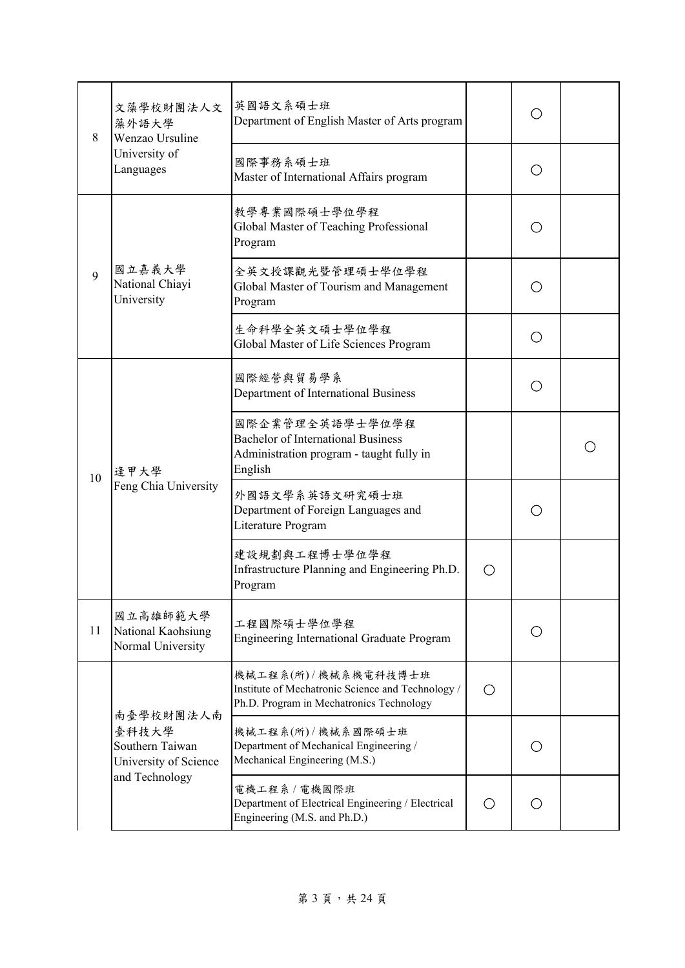| 8  | 文藻學校財團法人文<br>藻外語大學<br>Wenzao Ursuline               | 英國語文系碩士班<br>Department of English Master of Arts program                                                             |                                                 |     |  |
|----|-----------------------------------------------------|----------------------------------------------------------------------------------------------------------------------|-------------------------------------------------|-----|--|
|    | University of<br>Languages                          | 國際事務系碩士班<br>Master of International Affairs program                                                                  |                                                 | ∩   |  |
|    |                                                     | 教學專業國際碩士學位學程<br>Global Master of Teaching Professional<br>Program                                                    |                                                 | ( ) |  |
| 9  | 國立嘉義大學<br>National Chiayi<br>University             | 全英文授課觀光暨管理碩士學位學程<br>Global Master of Tourism and Management<br>Program                                               |                                                 | Ω   |  |
|    |                                                     | 生命科學全英文碩士學位學程<br>Global Master of Life Sciences Program                                                              |                                                 | ( ) |  |
|    | 逢甲大學<br>Feng Chia University                        | 國際經營與貿易學系<br>Department of International Business                                                                    |                                                 | Ω   |  |
| 10 |                                                     | 國際企業管理全英語學士學位學程<br><b>Bachelor of International Business</b><br>Administration program - taught fully in<br>English  |                                                 |     |  |
|    |                                                     | 外國語文學系英語文研究碩士班<br>Department of Foreign Languages and<br>Literature Program                                          |                                                 |     |  |
|    |                                                     | 建設規劃與工程博士學位學程<br>Infrastructure Planning and Engineering Ph.D.<br>Program                                            |                                                 |     |  |
| 11 | 國立高雄師範大學<br>National Kaohsiung<br>Normal University | 工程國際碩士學位學程<br><b>Engineering International Graduate Program</b>                                                      |                                                 |     |  |
|    | 南臺學校財團法人南                                           | 機械工程系(所)/機械系機電科技博士班<br>Institute of Mechatronic Science and Technology /<br>Ph.D. Program in Mechatronics Technology | $\left( \begin{array}{c} 1 \end{array} \right)$ |     |  |
|    | 臺科技大學<br>Southern Taiwan<br>University of Science   | 機械工程系(所)/機械系國際碩士班<br>Department of Mechanical Engineering /<br>Mechanical Engineering (M.S.)                         |                                                 | ( ) |  |
|    | and Technology                                      | 電機工程系 / 電機國際班<br>Department of Electrical Engineering / Electrical<br>Engineering (M.S. and Ph.D.)                   | O                                               | ∩   |  |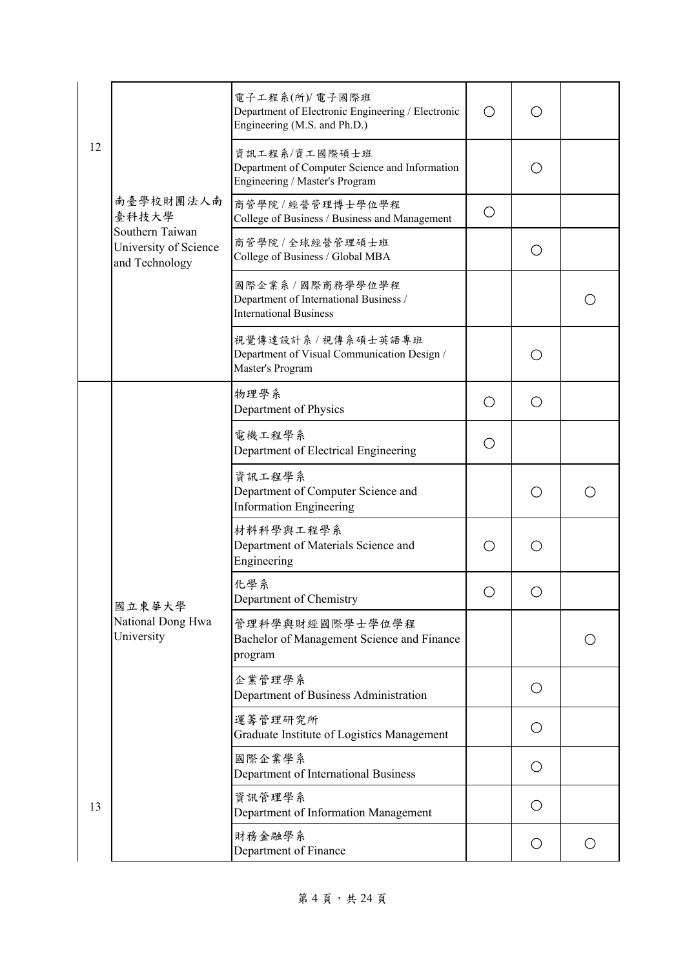|    |                                                            | 電子工程系(所)/ 電子國際班<br>Department of Electronic Engineering / Electronic<br>Engineering (M.S. and Ph.D.) | О |            |   |
|----|------------------------------------------------------------|------------------------------------------------------------------------------------------------------|---|------------|---|
| 12 |                                                            | 資訊工程系/資工國際碩士班<br>Department of Computer Science and Information<br>Engineering / Master's Program    |   | ( )        |   |
|    | 南臺學校財團法人南<br>臺科技大學                                         | 商管學院/經營管理博士學位學程<br>College of Business / Business and Management                                     | O |            |   |
|    | Southern Taiwan<br>University of Science<br>and Technology | 商管學院 / 全球經營管理碩士班<br>College of Business / Global MBA                                                 |   | O          |   |
|    |                                                            | 國際企業系 / 國際商務學學位學程<br>Department of International Business /<br><b>International Business</b>         |   |            |   |
|    |                                                            | 視覺傳達設計系 / 視傳系碩士英語專班<br>Department of Visual Communication Design /<br>Master's Program               |   | ◯          |   |
|    |                                                            | 物理學系<br>Department of Physics                                                                        | О | Ο          |   |
|    |                                                            | 電機工程學系<br>Department of Electrical Engineering                                                       | О |            |   |
|    |                                                            | 資訊工程學系<br>Department of Computer Science and<br><b>Information Engineering</b>                       |   | Ο          |   |
|    |                                                            | 材料科學與工程學系<br>Department of Materials Science and<br>Engineering                                      | О | ◯          |   |
|    | 國立東華大學                                                     | 化學系<br>Department of Chemistry                                                                       | O |            |   |
|    | National Dong Hwa<br>University                            | 管理科學與財經國際學士學位學程<br>Bachelor of Management Science and Finance<br>program                             |   |            |   |
|    |                                                            | 企業管理學系<br>Department of Business Administration                                                      |   | O          |   |
| 13 |                                                            | 運籌管理研究所<br>Graduate Institute of Logistics Management                                                |   | O          |   |
|    |                                                            | 國際企業學系<br>Department of International Business                                                       |   | $\bigcirc$ |   |
|    |                                                            | 資訊管理學系<br>Department of Information Management                                                       |   | O          |   |
|    |                                                            | 財務金融學系<br>Department of Finance                                                                      |   | O          | O |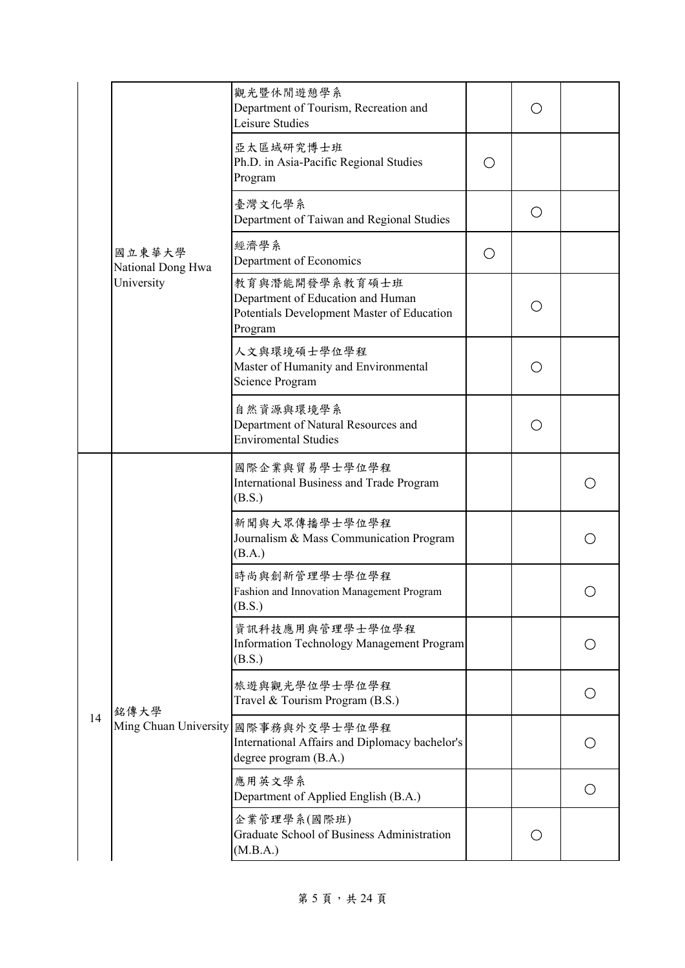|    |                             | 觀光暨休閒遊憩學系<br>Department of Tourism, Recreation and<br>Leisure Studies                                        |   | ( ) |     |
|----|-----------------------------|--------------------------------------------------------------------------------------------------------------|---|-----|-----|
|    |                             | 亞太區域研究博士班<br>Ph.D. in Asia-Pacific Regional Studies<br>Program                                               | O |     |     |
|    |                             | 臺灣文化學系<br>Department of Taiwan and Regional Studies                                                          |   | O   |     |
|    | 國立東華大學<br>National Dong Hwa | 經濟學系<br>Department of Economics                                                                              | O |     |     |
|    | University                  | 教育與潛能開發學系教育碩士班<br>Department of Education and Human<br>Potentials Development Master of Education<br>Program |   | Ο   |     |
|    |                             | 人文與環境碩士學位學程<br>Master of Humanity and Environmental<br>Science Program                                       |   | ◯   |     |
|    |                             | 自然資源與環境學系<br>Department of Natural Resources and<br><b>Enviromental Studies</b>                              |   | Ο   |     |
|    |                             | 國際企業與貿易學士學位學程<br>International Business and Trade Program<br>(B.S.)                                          |   |     | ( ) |
|    |                             | 新聞與大眾傳播學士學位學程<br>Journalism & Mass Communication Program<br>(B.A.)                                           |   |     | ◯   |
|    |                             | 時尚與創新管理學士學位學程<br>Fashion and Innovation Management Program<br>(B.S.)                                         |   |     |     |
|    |                             | 資訊科技應用與管理學士學位學程<br>Information Technology Management Program<br>(B.S.)                                       |   |     | O   |
|    | 銘傳大學                        | 旅遊與觀光學位學士學位學程<br>Travel & Tourism Program (B.S.)                                                             |   |     |     |
| 14 | Ming Chuan University       | 國際事務與外交學士學位學程<br>International Affairs and Diplomacy bachelor's<br>degree program (B.A.)                     |   |     |     |
|    |                             | 應用英文學系<br>Department of Applied English (B.A.)                                                               |   |     | O   |
|    |                             | 企業管理學系(國際班)<br>Graduate School of Business Administration<br>(M.B.A.)                                        |   | О   |     |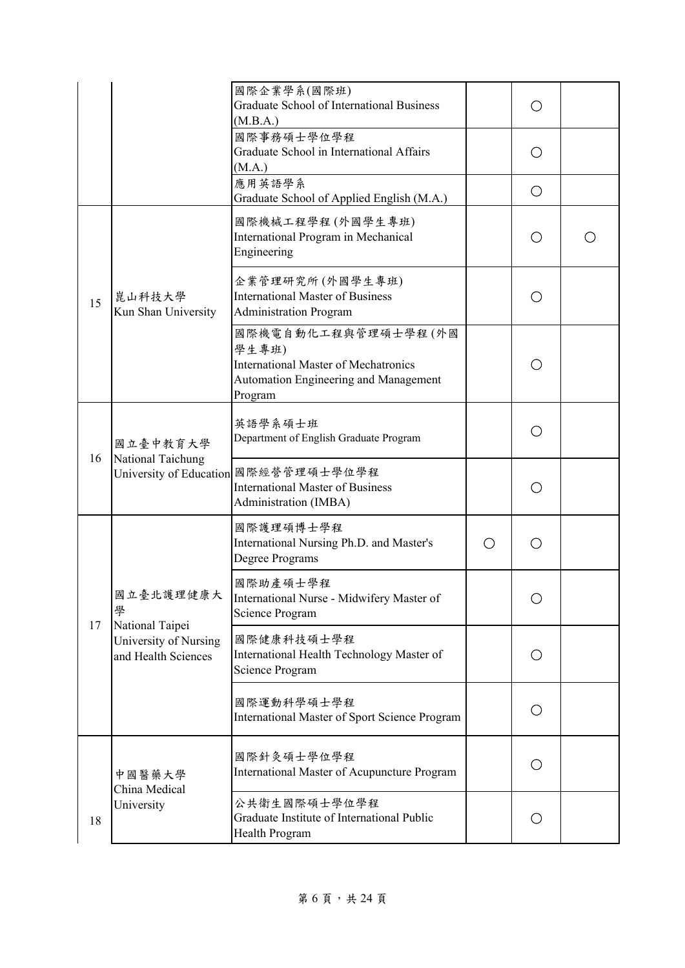|    |                                                          | 國際企業學系(國際班)<br><b>Graduate School of International Business</b><br>(M.B.A.)                                                     |   |     |  |
|----|----------------------------------------------------------|---------------------------------------------------------------------------------------------------------------------------------|---|-----|--|
|    |                                                          | 國際事務碩士學位學程<br>Graduate School in International Affairs<br>(M.A.)                                                                |   | ( ) |  |
|    |                                                          | 應用英語學系<br>Graduate School of Applied English (M.A.)                                                                             |   | O   |  |
|    |                                                          | 國際機械工程學程(外國學生專班)<br>International Program in Mechanical<br>Engineering                                                          |   | ○   |  |
| 15 | 崑山科技大學<br>Kun Shan University                            | 企業管理研究所 (外國學生專班)<br><b>International Master of Business</b><br><b>Administration Program</b>                                    |   | ∩   |  |
|    |                                                          | 國際機電自動化工程與管理碩士學程(外國<br>學生專班)<br><b>International Master of Mechatronics</b><br>Automation Engineering and Management<br>Program |   | ∩   |  |
| 16 | 國立臺中教育大學<br>National Taichung<br>University of Education | 英語學系碩士班<br>Department of English Graduate Program                                                                               |   | ( ) |  |
|    |                                                          | 國際經營管理碩士學位學程<br><b>International Master of Business</b><br>Administration (IMBA)                                                |   | ( ) |  |
|    |                                                          | 國際護理碩博士學程<br>International Nursing Ph.D. and Master's<br>Degree Programs                                                        | ◯ |     |  |
| 17 | 國立臺北護理健康大<br>學<br>National Taipei                        | 國際助產碩士學程<br>International Nurse - Midwifery Master of<br>Science Program                                                        |   |     |  |
|    | University of Nursing<br>and Health Sciences             | 國際健康科技碩士學程<br>International Health Technology Master of<br>Science Program                                                      |   | O   |  |
|    |                                                          | 國際運動科學碩士學程<br>International Master of Sport Science Program                                                                     |   | O   |  |
|    | 中國醫藥大學<br>China Medical                                  | 國際針灸碩士學位學程<br>International Master of Acupuncture Program                                                                       |   | ◯   |  |
| 18 | University                                               | 公共衛生國際碩士學位學程<br>Graduate Institute of International Public<br>Health Program                                                    |   | Ω   |  |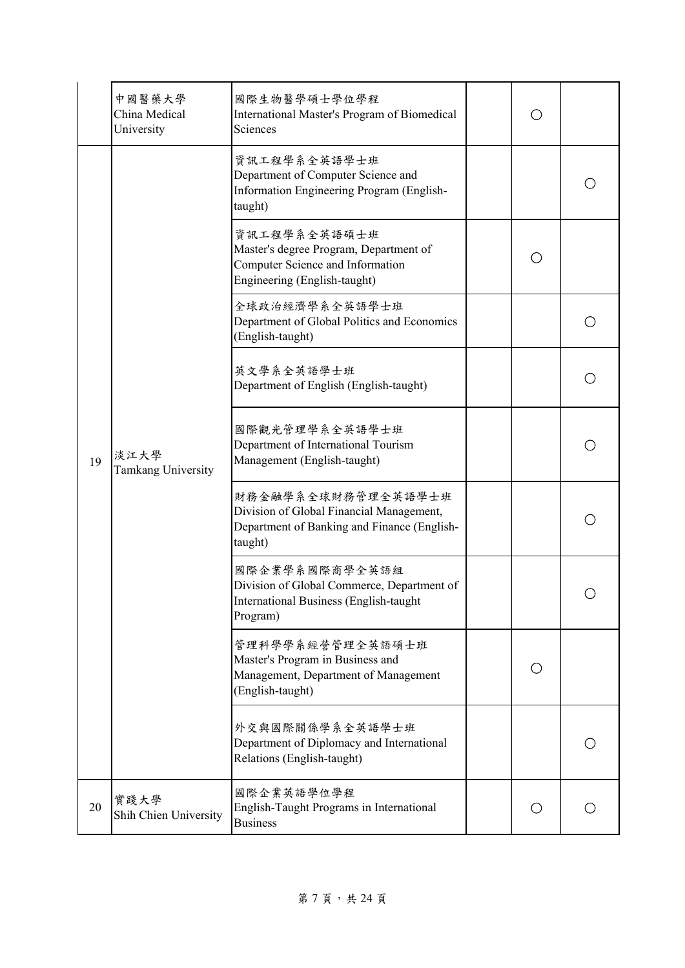|    | 中國醫藥大學<br>China Medical<br>University | 國際生物醫學碩士學位學程<br>International Master's Program of Biomedical<br>Sciences                                                   |     |   |
|----|---------------------------------------|----------------------------------------------------------------------------------------------------------------------------|-----|---|
| 19 |                                       | 資訊工程學系全英語學士班<br>Department of Computer Science and<br>Information Engineering Program (English-<br>taught)                 |     |   |
|    |                                       | 資訊工程學系全英語碩士班<br>Master's degree Program, Department of<br>Computer Science and Information<br>Engineering (English-taught) |     |   |
|    |                                       | 全球政治經濟學系全英語學士班<br>Department of Global Politics and Economics<br>(English-taught)                                          |     |   |
|    | 淡江大學<br>Tamkang University            | 英文學系全英語學士班<br>Department of English (English-taught)                                                                       |     |   |
|    |                                       | 國際觀光管理學系全英語學士班<br>Department of International Tourism<br>Management (English-taught)                                       |     |   |
|    |                                       | 財務金融學系全球財務管理全英語學士班<br>Division of Global Financial Management,<br>Department of Banking and Finance (English-<br>taught)   |     |   |
|    |                                       | 國際企業學系國際商學全英語組<br>Division of Global Commerce, Department of<br>International Business (English-taught<br>Program)         |     |   |
|    |                                       | 管理科學學系經營管理全英語碩士班<br>Master's Program in Business and<br>Management, Department of Management<br>(English-taught)           | ( ) |   |
|    |                                       | 外交與國際關係學系全英語學士班<br>Department of Diplomacy and International<br>Relations (English-taught)                                 |     |   |
| 20 | 實踐大學<br>Shih Chien University         | 國際企業英語學位學程<br>English-Taught Programs in International<br><b>Business</b>                                                  | O   | ◯ |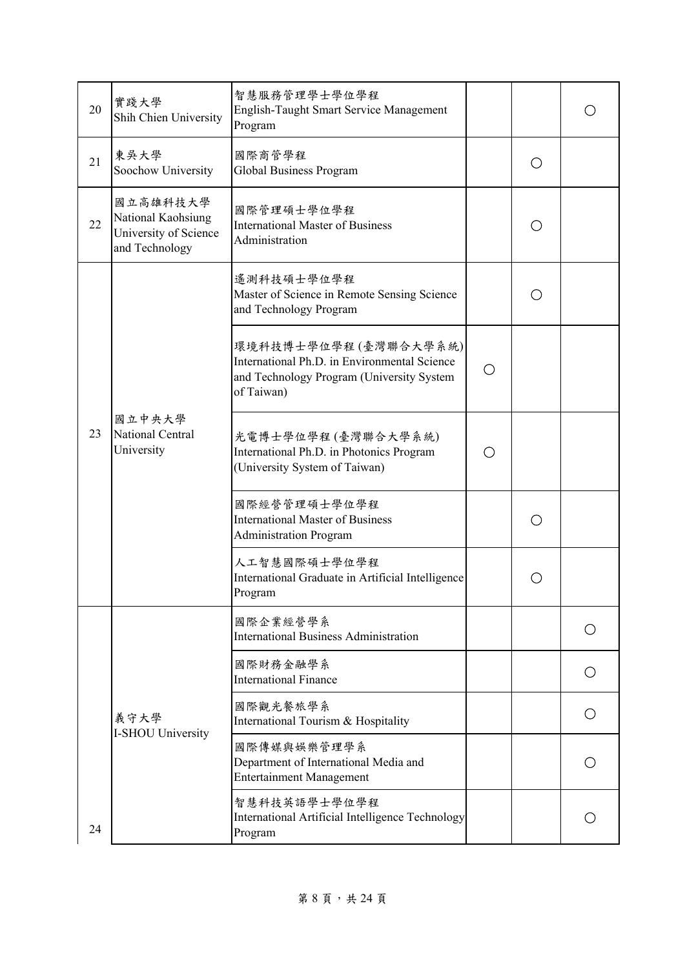| 20 | 實踐大學<br>Shih Chien University                                             | 智慧服務管理學士學位學程<br>English-Taught Smart Service Management<br>Program                                                              |   |     |                 |
|----|---------------------------------------------------------------------------|---------------------------------------------------------------------------------------------------------------------------------|---|-----|-----------------|
| 21 | 東吳大學<br>Soochow University                                                | 國際商管學程<br>Global Business Program                                                                                               |   |     |                 |
| 22 | 國立高雄科技大學<br>National Kaohsiung<br>University of Science<br>and Technology | 國際管理碩士學位學程<br><b>International Master of Business</b><br>Administration                                                         |   |     |                 |
|    |                                                                           | 遙測科技碩士學位學程<br>Master of Science in Remote Sensing Science<br>and Technology Program                                             |   |     |                 |
|    | 國立中央大學<br>National Central<br>University                                  | 環境科技博士學位學程(臺灣聯合大學系統)<br>International Ph.D. in Environmental Science<br>and Technology Program (University System<br>of Taiwan) | O |     |                 |
| 23 |                                                                           | 光電博士學位學程(臺灣聯合大學系統)<br>International Ph.D. in Photonics Program<br>(University System of Taiwan)                                 |   |     |                 |
|    |                                                                           | 國際經營管理碩士學位學程<br><b>International Master of Business</b><br><b>Administration Program</b>                                        |   | ( ) |                 |
|    |                                                                           | 人工智慧國際碩士學位學程<br>International Graduate in Artificial Intelligence<br>Program                                                    |   |     |                 |
|    |                                                                           | 國際企業經營學系<br><b>International Business Administration</b>                                                                        |   |     | ( )             |
|    |                                                                           | 國際財務金融學系<br><b>International Finance</b>                                                                                        |   |     | $\left(\right)$ |
|    | 義守大學<br>I-SHOU University                                                 | 國際觀光餐旅學系<br>International Tourism & Hospitality                                                                                 |   |     | ◯               |
|    |                                                                           | 國際傳媒與娛樂管理學系<br>Department of International Media and<br><b>Entertainment Management</b>                                         |   |     |                 |
| 24 |                                                                           | 智慧科技英語學士學位學程<br>International Artificial Intelligence Technology<br>Program                                                     |   |     |                 |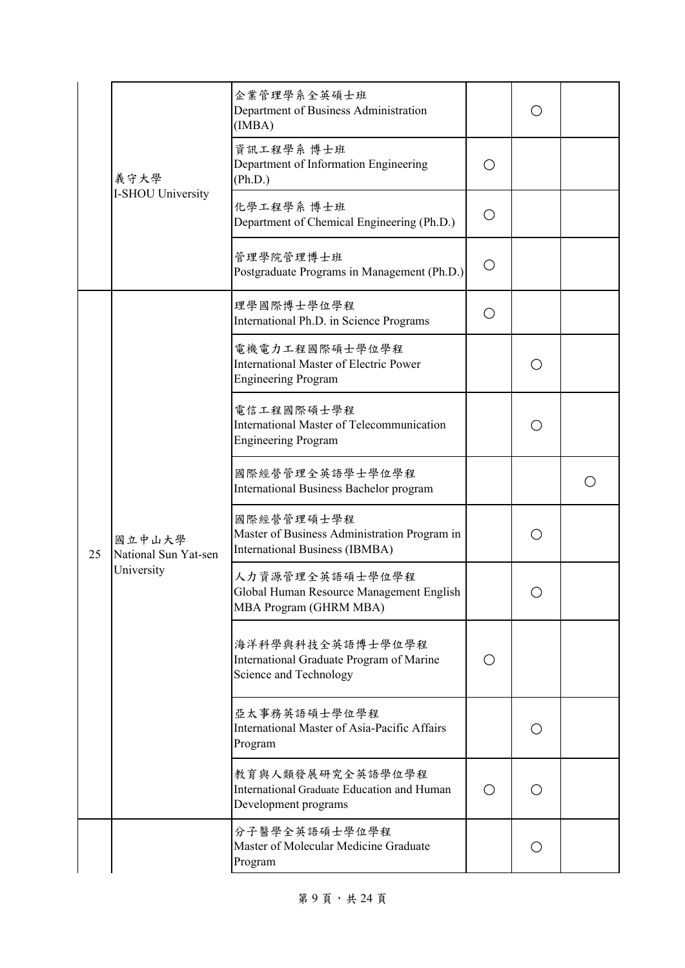|    |                                              | 企業管理學系全英碩士班<br>Department of Business Administration<br>(IMBA)                                |   |                                             |  |
|----|----------------------------------------------|-----------------------------------------------------------------------------------------------|---|---------------------------------------------|--|
|    | 義守大學                                         | 資訊工程學系 博士班<br>Department of Information Engineering<br>(Ph.D.)                                | O |                                             |  |
|    | I-SHOU University                            | 化學工程學系 博士班<br>Department of Chemical Engineering (Ph.D.)                                      | O |                                             |  |
|    |                                              | 管理學院管理博士班<br>Postgraduate Programs in Management (Ph.D.)                                      | O |                                             |  |
|    |                                              | 理學國際博士學位學程<br>International Ph.D. in Science Programs                                         | O |                                             |  |
|    |                                              | 電機電力工程國際碩士學位學程<br><b>International Master of Electric Power</b><br><b>Engineering Program</b> |   | ◯                                           |  |
|    | 國立中山大學<br>National Sun Yat-sen<br>University | 電信工程國際碩士學程<br>International Master of Telecommunication<br><b>Engineering Program</b>         |   |                                             |  |
|    |                                              | 國際經營管理全英語學士學位學程<br>International Business Bachelor program                                    |   |                                             |  |
| 25 |                                              | 國際經營管理碩士學程<br>Master of Business Administration Program in<br>International Business (IBMBA)  |   | $\left(\begin{array}{c} \end{array}\right)$ |  |
|    |                                              | 人力資源管理全英語碩士學位學程<br>Global Human Resource Management English<br>MBA Program (GHRM MBA)         |   |                                             |  |
|    |                                              | 海洋科學與科技全英語博士學位學程<br>International Graduate Program of Marine<br>Science and Technology        | O |                                             |  |
|    |                                              | 亞太事務英語碩士學位學程<br>International Master of Asia-Pacific Affairs<br>Program                       |   | ◯                                           |  |
|    |                                              | 教育與人類發展研究全英語學位學程<br>International Graduate Education and Human<br>Development programs        | O | ◯                                           |  |
|    |                                              | 分子醫學全英語碩士學位學程<br>Master of Molecular Medicine Graduate<br>Program                             |   | O                                           |  |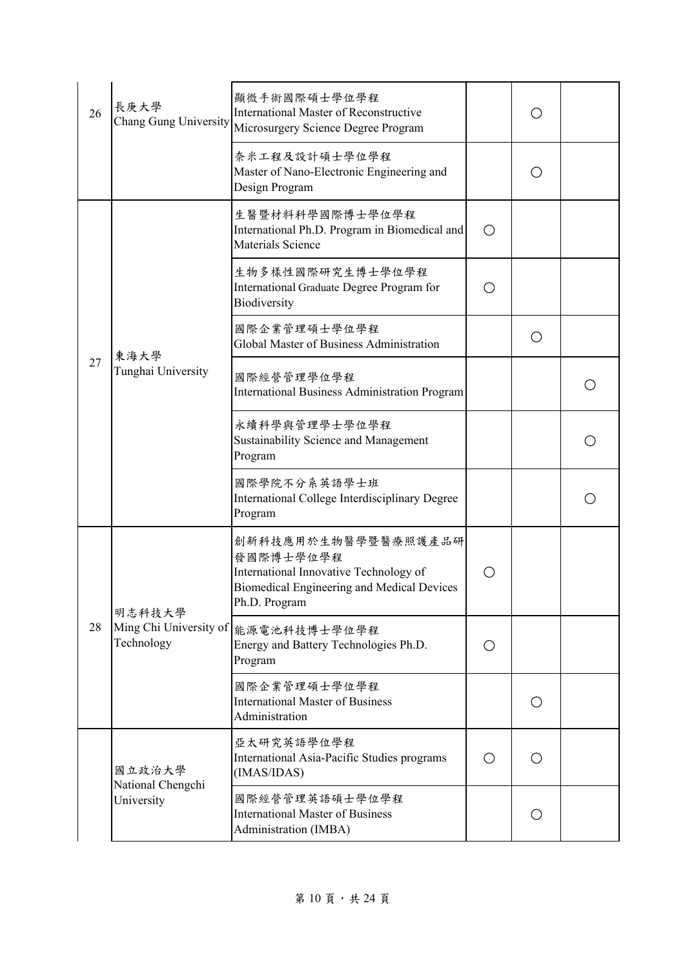| 26 | 長庚大學<br>Chang Gung University                  | 顯微手術國際碩士學位學程<br>International Master of Reconstructive<br>Microsurgery Science Degree Program                                             |   |            |  |
|----|------------------------------------------------|-------------------------------------------------------------------------------------------------------------------------------------------|---|------------|--|
|    |                                                | 奈米工程及設計碩士學位學程<br>Master of Nano-Electronic Engineering and<br>Design Program                                                              |   |            |  |
|    |                                                | 生醫暨材料科學國際博士學位學程<br>International Ph.D. Program in Biomedical and<br>Materials Science                                                     | ◯ |            |  |
|    |                                                | 生物多樣性國際研究生博士學位學程<br>International Graduate Degree Program for<br>Biodiversity                                                             |   |            |  |
|    |                                                | 國際企業管理碩士學位學程<br>Global Master of Business Administration                                                                                  |   | $\bigcirc$ |  |
| 27 | 東海大學<br>Tunghai University                     | 國際經營管理學位學程<br><b>International Business Administration Program</b>                                                                        |   |            |  |
|    |                                                | 永續科學與管理學士學位學程<br>Sustainability Science and Management<br>Program                                                                         |   |            |  |
|    |                                                | 國際學院不分系英語學士班<br>International College Interdisciplinary Degree<br>Program                                                                 |   |            |  |
|    |                                                | 創新科技應用於生物醫學暨醫療照護產品研<br>發國際博士學位學程<br>International Innovative Technology of<br>Biomedical Engineering and Medical Devices<br>Ph.D. Program |   |            |  |
| 28 | 明志科技大學<br>Ming Chi University of<br>Technology | 能源電池科技博士學位學程<br>Energy and Battery Technologies Ph.D.<br>Program                                                                          | O |            |  |
|    |                                                | 國際企業管理碩士學位學程<br><b>International Master of Business</b><br>Administration                                                                 |   | O          |  |
|    | 國立政治大學                                         | 亞太研究英語學位學程<br>International Asia-Pacific Studies programs<br>(IMAS/IDAS)                                                                  | ◯ | Ο          |  |
|    | National Chengchi<br>University                | 國際經營管理英語碩士學位學程<br><b>International Master of Business</b><br>Administration (IMBA)                                                        |   | O          |  |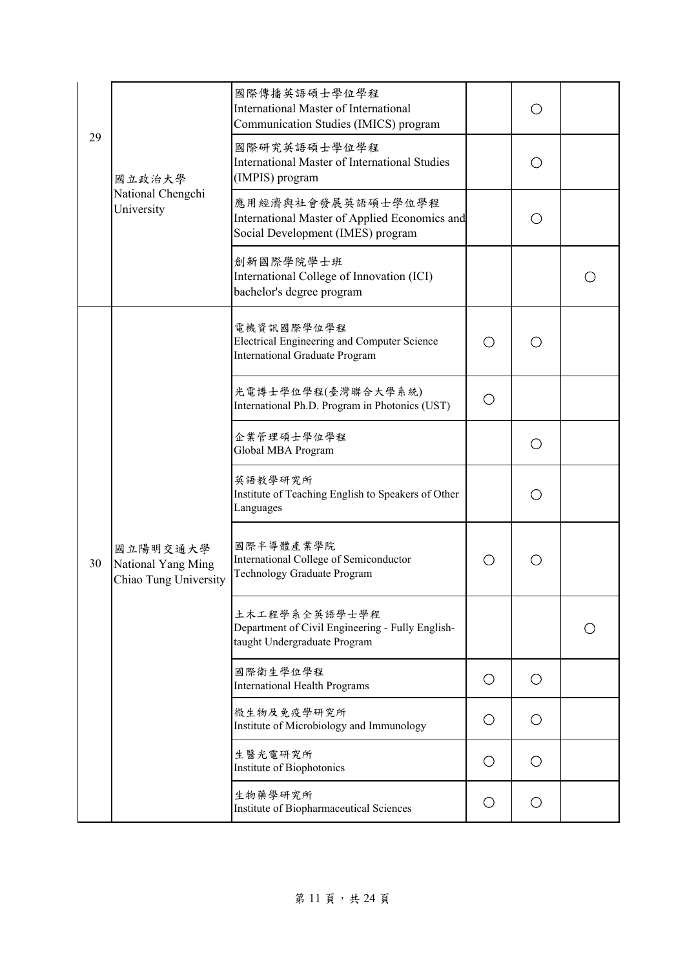|    | (IMPIS) program<br>國立政治大學                               | 國際傳播英語碩士學位學程<br><b>International Master of International</b><br>Communication Studies (IMICS) program   |     |            |  |
|----|---------------------------------------------------------|---------------------------------------------------------------------------------------------------------|-----|------------|--|
| 29 |                                                         | 國際研究英語碩士學位學程<br><b>International Master of International Studies</b>                                    |     |            |  |
|    | National Chengchi<br>University                         | 應用經濟與社會發展英語碩士學位學程<br>International Master of Applied Economics and<br>Social Development (IMES) program |     |            |  |
|    |                                                         | 創新國際學院學士班<br>International College of Innovation (ICI)<br>bachelor's degree program                     |     |            |  |
|    |                                                         | 電機資訊國際學位學程<br>Electrical Engineering and Computer Science<br><b>International Graduate Program</b>      | ( ) |            |  |
|    |                                                         | 光電博士學位學程(臺灣聯合大學系統)<br>International Ph.D. Program in Photonics (UST)                                    | O   |            |  |
|    |                                                         | 企業管理碩士學位學程<br>Global MBA Program                                                                        |     | $\bigcirc$ |  |
|    |                                                         | 英語教學研究所<br>Institute of Teaching English to Speakers of Other<br>Languages                              |     | ◯          |  |
| 30 | 國立陽明交通大學<br>National Yang Ming<br>Chiao Tung University | 國際半導體產業學院<br>International College of Semiconductor<br>Technology Graduate Program                      | O   | ( )        |  |
|    |                                                         | 土木工程學系全英語學士學程<br>Department of Civil Engineering - Fully English-<br>taught Undergraduate Program       |     |            |  |
|    |                                                         | 國際衛生學位學程<br><b>International Health Programs</b>                                                        | О   | O          |  |
|    |                                                         | 微生物及免疫學研究所<br>Institute of Microbiology and Immunology                                                  | O   | O          |  |
|    |                                                         | 生醫光電研究所<br>Institute of Biophotonics                                                                    | О   | O          |  |
|    |                                                         | 生物藥學研究所<br>Institute of Biopharmaceutical Sciences                                                      | O   | O          |  |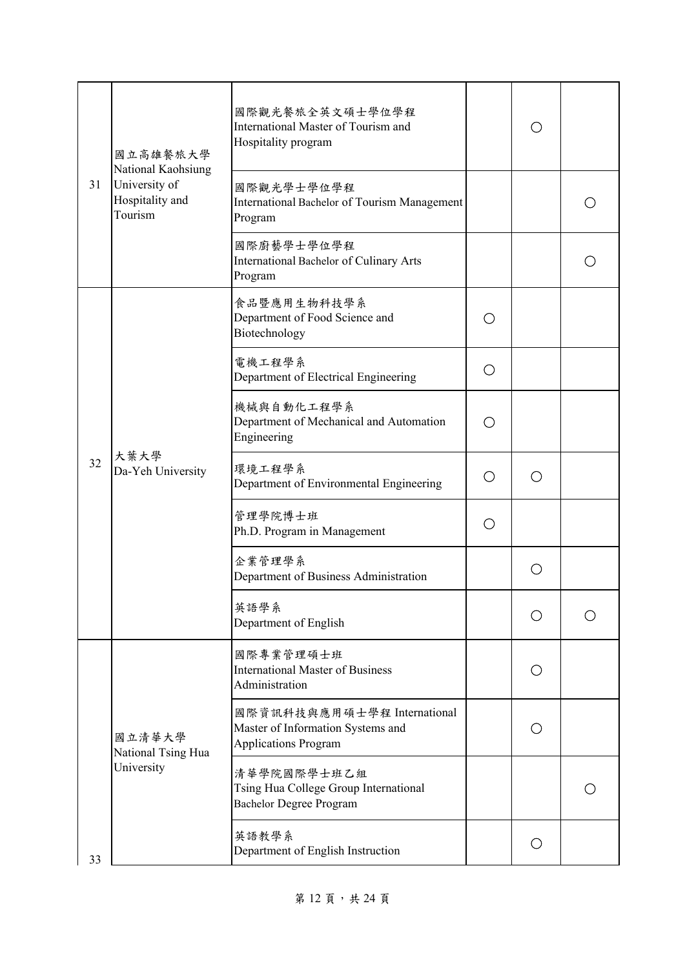|    | 國立高雄餐旅大學<br>National Kaohsiung<br>University of<br>Hospitality and<br>Tourism | 國際觀光餐旅全英文碩士學位學程<br>International Master of Tourism and<br>Hospitality program                   |     |   |  |
|----|-------------------------------------------------------------------------------|-------------------------------------------------------------------------------------------------|-----|---|--|
| 31 |                                                                               | 國際觀光學士學位學程<br>International Bachelor of Tourism Management<br>Program                           |     |   |  |
|    |                                                                               | 國際廚藝學士學位學程<br>International Bachelor of Culinary Arts<br>Program                                |     |   |  |
|    |                                                                               | 食品暨應用生物科技學系<br>Department of Food Science and<br>Biotechnology                                  | ( ) |   |  |
|    |                                                                               | 電機工程學系<br>Department of Electrical Engineering                                                  | ◯   |   |  |
|    | 大葉大學<br>Da-Yeh University                                                     | 機械與自動化工程學系<br>Department of Mechanical and Automation<br>Engineering                            | ( ) |   |  |
| 32 |                                                                               | 環境工程學系<br>Department of Environmental Engineering                                               | Ο   | ◯ |  |
|    |                                                                               | 管理學院博士班<br>Ph.D. Program in Management                                                          | ( ) |   |  |
|    |                                                                               | 企業管理學系<br>Department of Business Administration                                                 |     |   |  |
|    |                                                                               | 英語學系<br>Department of English                                                                   |     |   |  |
|    |                                                                               | 國際專業管理碩士班<br><b>International Master of Business</b><br>Administration                          |     | ◯ |  |
|    | 國立清華大學<br>National Tsing Hua                                                  | 國際資訊科技與應用碩士學程 International<br>Master of Information Systems and<br><b>Applications Program</b> |     | ◯ |  |
| 33 | University                                                                    | 清華學院國際學士班乙組<br>Tsing Hua College Group International<br><b>Bachelor Degree Program</b>          |     |   |  |
|    |                                                                               | 英語教學系<br>Department of English Instruction                                                      |     | О |  |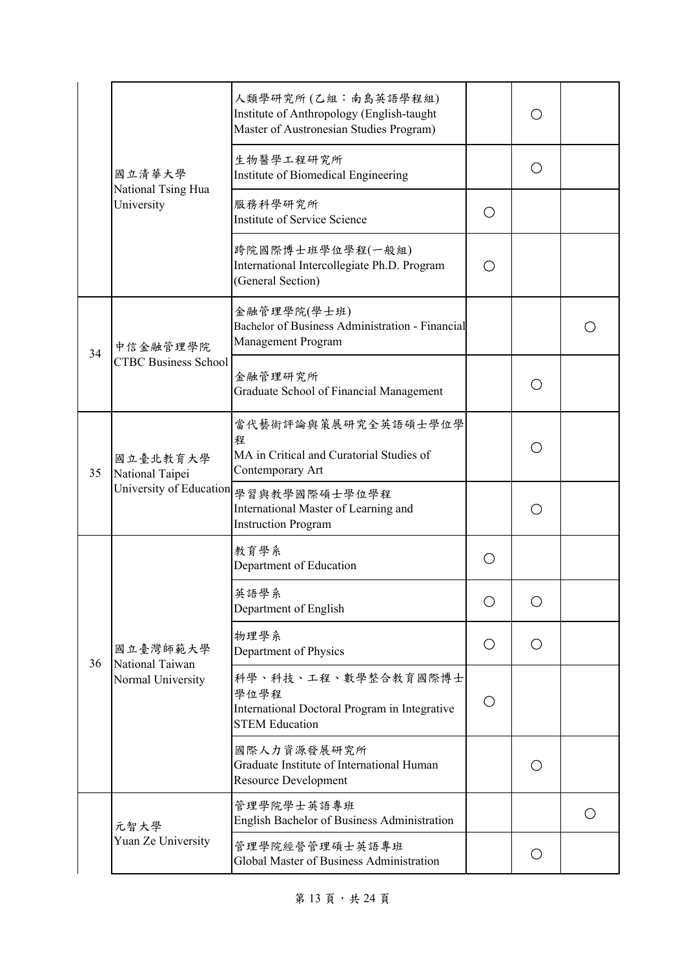|    | 國立清華大學                                                 | 人類學研究所(乙組:南島英語學程組)<br>Institute of Anthropology (English-taught<br>Master of Austronesian Studies Program) |                                                     |                                               |     |
|----|--------------------------------------------------------|------------------------------------------------------------------------------------------------------------|-----------------------------------------------------|-----------------------------------------------|-----|
|    |                                                        | 生物醫學工程研究所<br>Institute of Biomedical Engineering                                                           |                                                     | ( )                                           |     |
|    | National Tsing Hua<br>University                       | 服務科學研究所<br><b>Institute of Service Science</b>                                                             | ( )                                                 |                                               |     |
|    |                                                        | 跨院國際博士班學位學程(一般組)<br>International Intercollegiate Ph.D. Program<br>(General Section)                       | $\left( \begin{array}{c} \cdot \end{array} \right)$ |                                               |     |
| 34 | 中信金融管理學院                                               | 金融管理學院(學士班)<br>Bachelor of Business Administration - Financial<br>Management Program                       |                                                     |                                               |     |
|    | <b>CTBC Business School</b>                            | 金融管理研究所<br>Graduate School of Financial Management                                                         |                                                     |                                               |     |
| 35 | 國立臺北教育大學<br>National Taipei<br>University of Education | 當代藝術評論與策展研究全英語碩士學位學<br>程<br>MA in Critical and Curatorial Studies of<br>Contemporary Art                   |                                                     | $\left(\begin{array}{c} 1 \end{array}\right)$ |     |
|    |                                                        | 學習與教學國際碩士學位學程<br>International Master of Learning and<br><b>Instruction Program</b>                        |                                                     |                                               |     |
|    |                                                        | 教育學系<br>Department of Education                                                                            | $\left( \begin{array}{c} \cdot \end{array} \right)$ |                                               |     |
|    |                                                        | 英語學系<br>Department of English                                                                              | Ο                                                   | ()                                            |     |
| 36 | 國立臺灣師範大學<br>National Taiwan                            | 物理學系<br>Department of Physics                                                                              | O                                                   | O                                             |     |
|    | Normal University                                      | 科學、科技、工程、數學整合教育國際博士<br>學位學程<br>International Doctoral Program in Integrative<br><b>STEM Education</b>      | O                                                   |                                               |     |
|    |                                                        | 國際人力資源發展研究所<br>Graduate Institute of International Human<br>Resource Development                           |                                                     | ( )                                           |     |
|    | 元智大學                                                   | 管理學院學士英語專班<br><b>English Bachelor of Business Administration</b>                                           |                                                     |                                               | ( ) |
|    | Yuan Ze University                                     | 管理學院經營管理碩士英語專班<br>Global Master of Business Administration                                                 |                                                     | $\left(\right)$                               |     |

第13頁,共24頁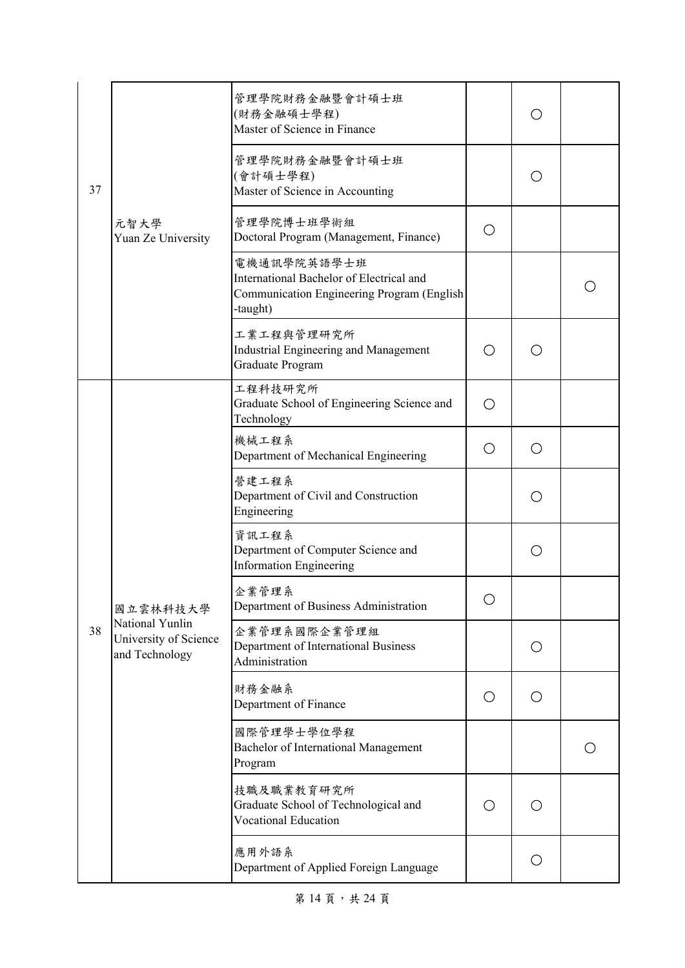|    |                                                            | 管理學院財務金融暨會計碩士班<br>(財務金融碩士學程)<br>Master of Science in Finance                                                      |   |                                                             |  |
|----|------------------------------------------------------------|-------------------------------------------------------------------------------------------------------------------|---|-------------------------------------------------------------|--|
| 37 |                                                            | 管理學院財務金融暨會計碩士班<br>(會計碩士學程)<br>Master of Science in Accounting                                                     |   |                                                             |  |
|    | 元智大學<br>Yuan Ze University                                 | 管理學院博士班學術組<br>Doctoral Program (Management, Finance)                                                              | O |                                                             |  |
|    |                                                            | 電機通訊學院英語學士班<br>International Bachelor of Electrical and<br>Communication Engineering Program (English<br>-taught) |   |                                                             |  |
|    |                                                            | 工業工程與管理研究所<br>Industrial Engineering and Management<br>Graduate Program                                           | O | $\left(\begin{smallmatrix} 1 \\ 1 \end{smallmatrix}\right)$ |  |
|    |                                                            | 工程科技研究所<br>Graduate School of Engineering Science and<br>Technology                                               | O |                                                             |  |
|    |                                                            | 機械工程系<br>Department of Mechanical Engineering                                                                     | O | ○                                                           |  |
|    |                                                            | 營建工程系<br>Department of Civil and Construction<br>Engineering                                                      |   |                                                             |  |
|    |                                                            | 資訊工程系<br>Department of Computer Science and<br><b>Information Engineering</b>                                     |   | O                                                           |  |
|    | 國立雲林科技大學                                                   | 企業管理系<br>Department of Business Administration                                                                    |   |                                                             |  |
| 38 | National Yunlin<br>University of Science<br>and Technology | 企業管理系國際企業管理組<br>Department of International Business<br>Administration                                            |   | O                                                           |  |
|    |                                                            | 財務金融系<br>Department of Finance                                                                                    | О | Ο                                                           |  |
|    |                                                            | 國際管理學士學位學程<br>Bachelor of International Management<br>Program                                                     |   |                                                             |  |
|    |                                                            | 技職及職業教育研究所<br>Graduate School of Technological and<br><b>Vocational Education</b>                                 | O | $\bigcirc$                                                  |  |
|    |                                                            | 應用外語系<br>Department of Applied Foreign Language                                                                   |   | O                                                           |  |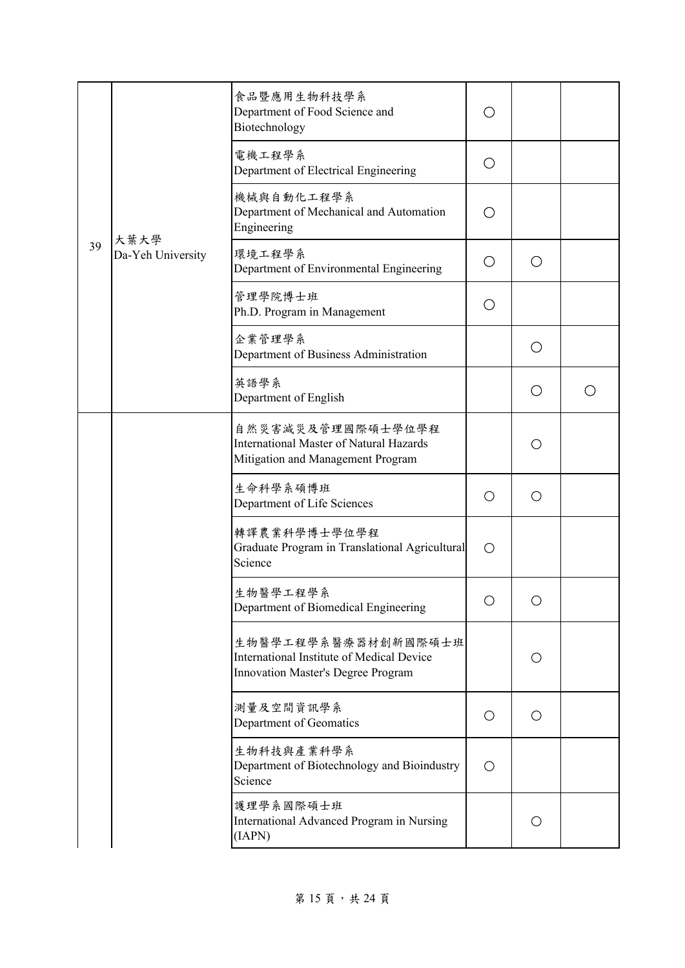|    |                           | 食品暨應用生物科技學系<br>Department of Food Science and<br>Biotechnology                                           | ( )             |            |  |
|----|---------------------------|----------------------------------------------------------------------------------------------------------|-----------------|------------|--|
|    |                           | 電機工程學系<br>Department of Electrical Engineering                                                           | ( )             |            |  |
|    |                           | 機械與自動化工程學系<br>Department of Mechanical and Automation<br>Engineering                                     |                 |            |  |
| 39 | 大葉大學<br>Da-Yeh University | 環境工程學系<br>Department of Environmental Engineering                                                        | $\bigcirc$      | ◯          |  |
|    |                           | 管理學院博士班<br>Ph.D. Program in Management                                                                   | ( )             |            |  |
|    |                           | 企業管理學系<br>Department of Business Administration                                                          |                 | ◯          |  |
|    |                           | 英語學系<br>Department of English                                                                            |                 | ◯          |  |
|    |                           | 自然災害減災及管理國際碩士學位學程<br><b>International Master of Natural Hazards</b><br>Mitigation and Management Program |                 | ◯          |  |
|    |                           | 生命科學系碩博班<br>Department of Life Sciences                                                                  | $\left(\right)$ | O          |  |
|    |                           | 轉譯農業科學博士學位學程<br>Graduate Program in Translational Agricultural<br>Science                                | $\left(\right)$ |            |  |
|    |                           | 生物醫學工程學系<br>Department of Biomedical Engineering                                                         |                 |            |  |
|    |                           | 生物醫學工程學系醫療器材創新國際碩士班<br>International Institute of Medical Device<br>Innovation Master's Degree Program   |                 | O          |  |
|    |                           | 測量及空間資訊學系<br>Department of Geomatics                                                                     | O               | $\bigcirc$ |  |
|    |                           | 生物科技與產業科學系<br>Department of Biotechnology and Bioindustry<br>Science                                     | $\left(\right)$ |            |  |
|    |                           | 護理學系國際碩士班<br>International Advanced Program in Nursing<br>(IAPN)                                         |                 | ( )        |  |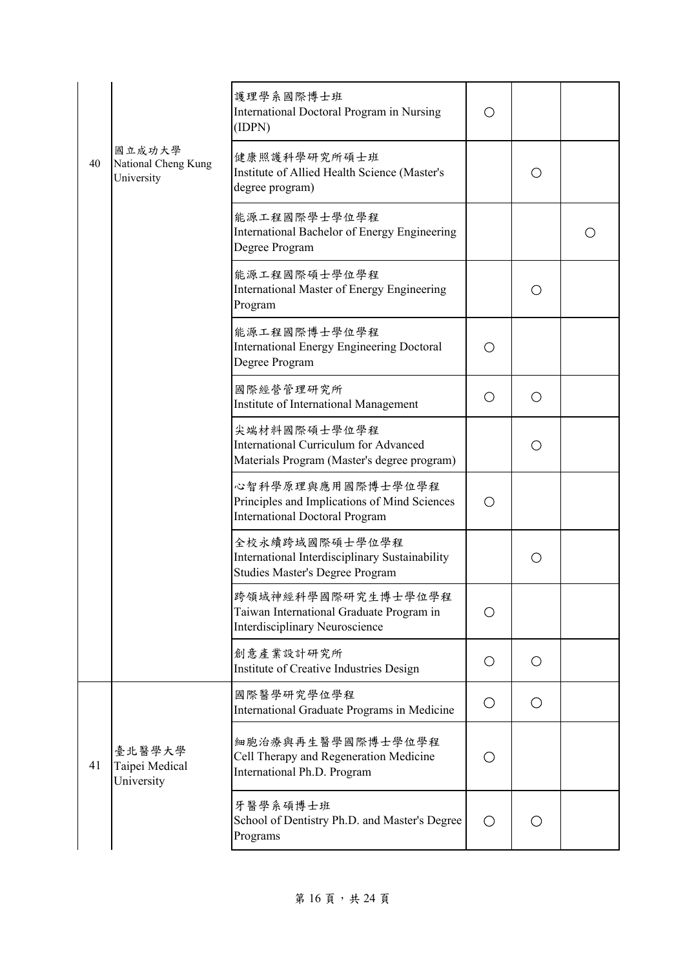|    |                                             | 護理學系國際博士班<br>International Doctoral Program in Nursing<br>(IDPN)                                           | O          |            |  |
|----|---------------------------------------------|------------------------------------------------------------------------------------------------------------|------------|------------|--|
| 40 | 國立成功大學<br>National Cheng Kung<br>University | 健康照護科學研究所碩士班<br>Institute of Allied Health Science (Master's<br>degree program)                            |            | Ω          |  |
|    |                                             | 能源工程國際學士學位學程<br>International Bachelor of Energy Engineering<br>Degree Program                             |            |            |  |
|    |                                             | 能源工程國際碩士學位學程<br>International Master of Energy Engineering<br>Program                                      |            | ( )        |  |
|    |                                             | 能源工程國際博士學位學程<br><b>International Energy Engineering Doctoral</b><br>Degree Program                         | O          |            |  |
|    |                                             | 國際經營管理研究所<br>Institute of International Management                                                         | O          | О          |  |
|    |                                             | 尖端材料國際碩士學位學程<br>International Curriculum for Advanced<br>Materials Program (Master's degree program)       |            | О          |  |
|    |                                             | 心智科學原理與應用國際博士學位學程<br>Principles and Implications of Mind Sciences<br><b>International Doctoral Program</b> | O          |            |  |
|    |                                             | 全校永續跨域國際碩士學位學程<br>International Interdisciplinary Sustainability<br><b>Studies Master's Degree Program</b> |            | О          |  |
|    |                                             | 跨領域神經科學國際研究生博士學位學程<br>Taiwan International Graduate Program in<br>Interdisciplinary Neuroscience           | $\circ$    |            |  |
|    |                                             | 創意產業設計研究所<br>Institute of Creative Industries Design                                                       | $\circ$    | $\bigcirc$ |  |
|    |                                             | 國際醫學研究學位學程<br>International Graduate Programs in Medicine                                                  | O          | O          |  |
| 41 | 臺北醫學大學<br>Taipei Medical<br>University      | 細胞治療與再生醫學國際博士學位學程<br>Cell Therapy and Regeneration Medicine<br>International Ph.D. Program                 | Ο          |            |  |
|    |                                             | 牙醫學系碩博士班<br>School of Dentistry Ph.D. and Master's Degree<br>Programs                                      | $\bigcirc$ | ( )        |  |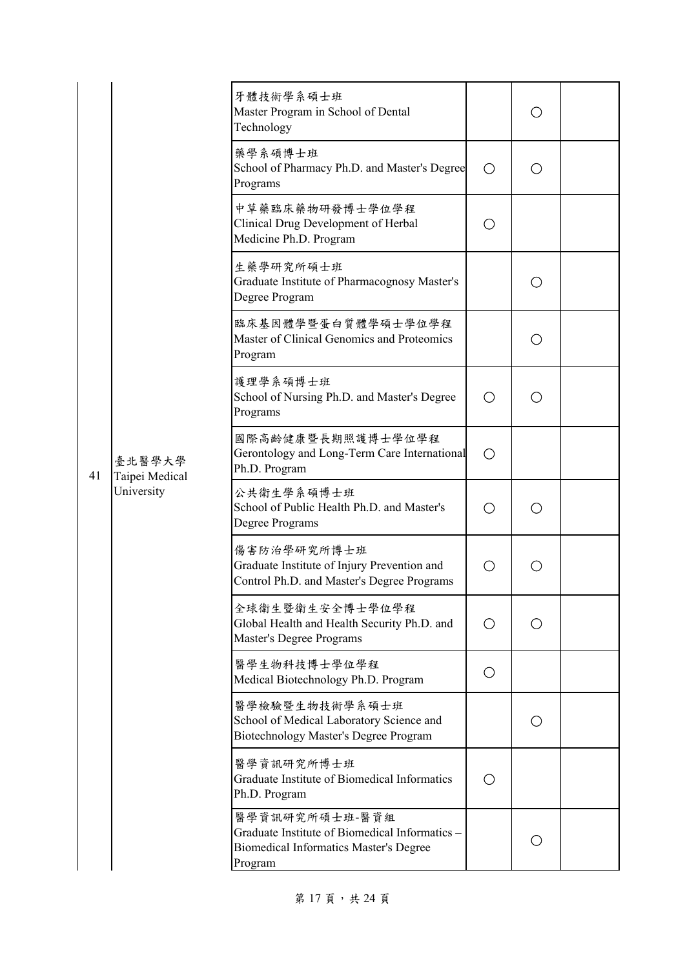|    |                                        | 牙體技術學系碩士班<br>Master Program in School of Dental<br>Technology                                                                |                                             | ( )                                             |  |
|----|----------------------------------------|------------------------------------------------------------------------------------------------------------------------------|---------------------------------------------|-------------------------------------------------|--|
|    |                                        | 藥學系碩博士班<br>School of Pharmacy Ph.D. and Master's Degree<br>Programs                                                          | ◯                                           | ○                                               |  |
|    |                                        | 中草藥臨床藥物研發博士學位學程<br>Clinical Drug Development of Herbal<br>Medicine Ph.D. Program                                             | $\left(\begin{array}{c} \end{array}\right)$ |                                                 |  |
|    |                                        | 生藥學研究所碩士班<br>Graduate Institute of Pharmacognosy Master's<br>Degree Program                                                  |                                             | ()                                              |  |
|    |                                        | 臨床基因體學暨蛋白質體學碩士學位學程<br>Master of Clinical Genomics and Proteomics<br>Program                                                  |                                             | ∩                                               |  |
|    |                                        | 護理學系碩博士班<br>School of Nursing Ph.D. and Master's Degree<br>Programs                                                          |                                             |                                                 |  |
| 41 | 臺北醫學大學<br>Taipei Medical<br>University | 國際高齡健康暨長期照護博士學位學程<br>Gerontology and Long-Term Care International<br>Ph.D. Program                                           | ◯                                           |                                                 |  |
|    |                                        | 公共衛生學系碩博士班<br>School of Public Health Ph.D. and Master's<br>Degree Programs                                                  |                                             | $\left( \begin{array}{c} 1 \end{array} \right)$ |  |
|    |                                        | 傷害防治學研究所博士班<br>Graduate Institute of Injury Prevention and<br>Control Ph.D. and Master's Degree Programs                     |                                             |                                                 |  |
|    |                                        | 全球衛生暨衛生安全博士學位學程<br>Global Health and Health Security Ph.D. and<br><b>Master's Degree Programs</b>                            | ◯                                           | ◯                                               |  |
|    |                                        | 醫學生物科技博士學位學程<br>Medical Biotechnology Ph.D. Program                                                                          | O                                           |                                                 |  |
|    |                                        | 醫學檢驗暨生物技術學系碩士班<br>School of Medical Laboratory Science and<br>Biotechnology Master's Degree Program                          |                                             | ( )                                             |  |
|    |                                        | 醫學資訊研究所博士班<br>Graduate Institute of Biomedical Informatics<br>Ph.D. Program                                                  | ( )                                         |                                                 |  |
|    |                                        | 醫學資訊研究所碩士班-醫資組<br>Graduate Institute of Biomedical Informatics -<br><b>Biomedical Informatics Master's Degree</b><br>Program |                                             |                                                 |  |

第17頁,共24頁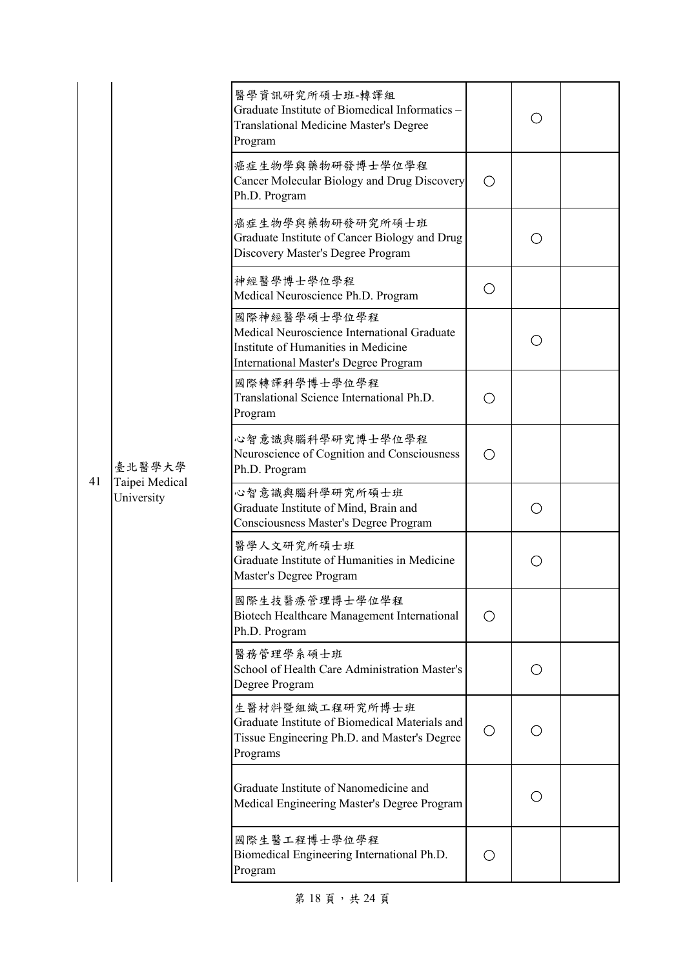|    |                                        | 醫學資訊研究所碩士班-轉譯組<br>Graduate Institute of Biomedical Informatics -<br><b>Translational Medicine Master's Degree</b><br>Program                |            |                   |  |
|----|----------------------------------------|---------------------------------------------------------------------------------------------------------------------------------------------|------------|-------------------|--|
|    |                                        | 癌症生物學與藥物研發博士學位學程<br>Cancer Molecular Biology and Drug Discovery<br>Ph.D. Program                                                            | ◯          |                   |  |
|    |                                        | 癌症生物學與藥物研發研究所碩士班<br>Graduate Institute of Cancer Biology and Drug<br>Discovery Master's Degree Program                                      |            |                   |  |
|    |                                        | 神經醫學博士學位學程<br>Medical Neuroscience Ph.D. Program                                                                                            | O          |                   |  |
|    |                                        | 國際神經醫學碩士學位學程<br>Medical Neuroscience International Graduate<br>Institute of Humanities in Medicine<br>International Master's Degree Program |            | ( )               |  |
|    |                                        | 國際轉譯科學博士學位學程<br>Translational Science International Ph.D.<br>Program                                                                        | ( )        |                   |  |
|    | 臺北醫學大學<br>Taipei Medical<br>University | 心智意識與腦科學研究博士學位學程<br>Neuroscience of Cognition and Consciousness<br>Ph.D. Program                                                            | ( )        |                   |  |
| 41 |                                        | 心智意識與腦科學研究所碩士班<br>Graduate Institute of Mind, Brain and<br>Consciousness Master's Degree Program                                            |            |                   |  |
|    |                                        | 醫學人文研究所碩士班<br>Graduate Institute of Humanities in Medicine<br>Master's Degree Program                                                       |            | ( )               |  |
|    |                                        | 國際生技醫療管理博士學位學程<br>Biotech Healthcare Management International<br>Ph.D. Program                                                              | ( )        |                   |  |
|    |                                        | 醫務管理學系碩士班<br>School of Health Care Administration Master's<br>Degree Program                                                                |            | $\left(\ \right)$ |  |
|    |                                        | 生醫材料暨組織工程研究所博士班<br>Graduate Institute of Biomedical Materials and<br>Tissue Engineering Ph.D. and Master's Degree<br>Programs               | O          | ◯                 |  |
|    |                                        | Graduate Institute of Nanomedicine and<br>Medical Engineering Master's Degree Program                                                       |            | ( )               |  |
|    |                                        | 國際生醫工程博士學位學程<br>Biomedical Engineering International Ph.D.<br>Program                                                                       | $\bigcirc$ |                   |  |

第 18 頁,共 24 頁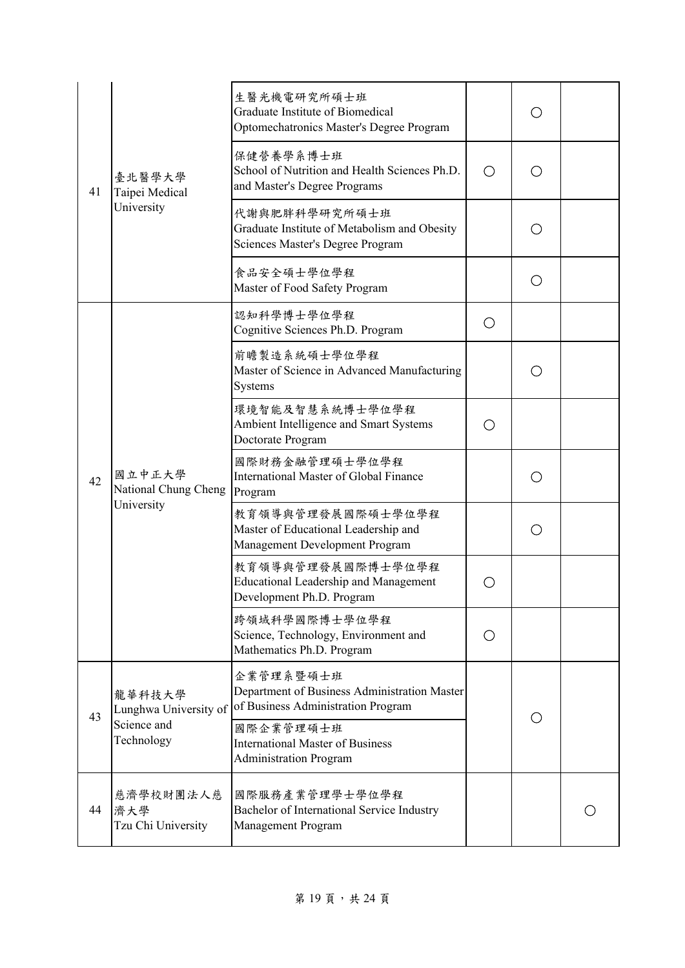|    |                                                | 生醫光機電研究所碩士班<br>Graduate Institute of Biomedical<br>Optomechatronics Master's Degree Program                  |     | ( ) |  |
|----|------------------------------------------------|--------------------------------------------------------------------------------------------------------------|-----|-----|--|
| 41 | 臺北醫學大學<br>Taipei Medical                       | 保健營養學系博士班<br>School of Nutrition and Health Sciences Ph.D.<br>and Master's Degree Programs                   | O   | ◯   |  |
|    | University                                     | 代謝與肥胖科學研究所碩士班<br>Graduate Institute of Metabolism and Obesity<br>Sciences Master's Degree Program            |     | ∩   |  |
|    |                                                | 食品安全碩士學位學程<br>Master of Food Safety Program                                                                  |     | ( ) |  |
|    |                                                | 認知科學博士學位學程<br>Cognitive Sciences Ph.D. Program                                                               | Ο   |     |  |
|    | 國立中正大學<br>National Chung Cheng<br>University   | 前瞻製造系統碩士學位學程<br>Master of Science in Advanced Manufacturing<br>Systems                                       |     | ( ) |  |
|    |                                                | 環境智能及智慧系統博士學位學程<br>Ambient Intelligence and Smart Systems<br>Doctorate Program                               | ◯   |     |  |
| 42 |                                                | 國際財務金融管理碩士學位學程<br>International Master of Global Finance<br>Program                                          |     | O   |  |
|    |                                                | 教育領導與管理發展國際碩士學位學程<br>Master of Educational Leadership and<br>Management Development Program                  |     | Ο   |  |
|    |                                                | 教育領導與管理發展國際博士學位學程<br><b>Educational Leadership and Management</b><br>Development Ph.D. Program               |     |     |  |
|    |                                                | 跨領域科學國際博士學位學程<br>Science, Technology, Environment and<br>Mathematics Ph.D. Program                           | ( ) |     |  |
| 43 | 龍華科技大學<br>Lunghwa University of<br>Science and | 企業管理系暨碩士班<br>Department of Business Administration Master<br>of Business Administration Program<br>國際企業管理碩士班 |     | ◯   |  |
|    | Technology                                     | <b>International Master of Business</b><br><b>Administration Program</b>                                     |     |     |  |
| 44 | 慈濟學校財團法人慈<br>濟大學<br>Tzu Chi University         | 國際服務產業管理學士學位學程<br>Bachelor of International Service Industry<br>Management Program                           |     |     |  |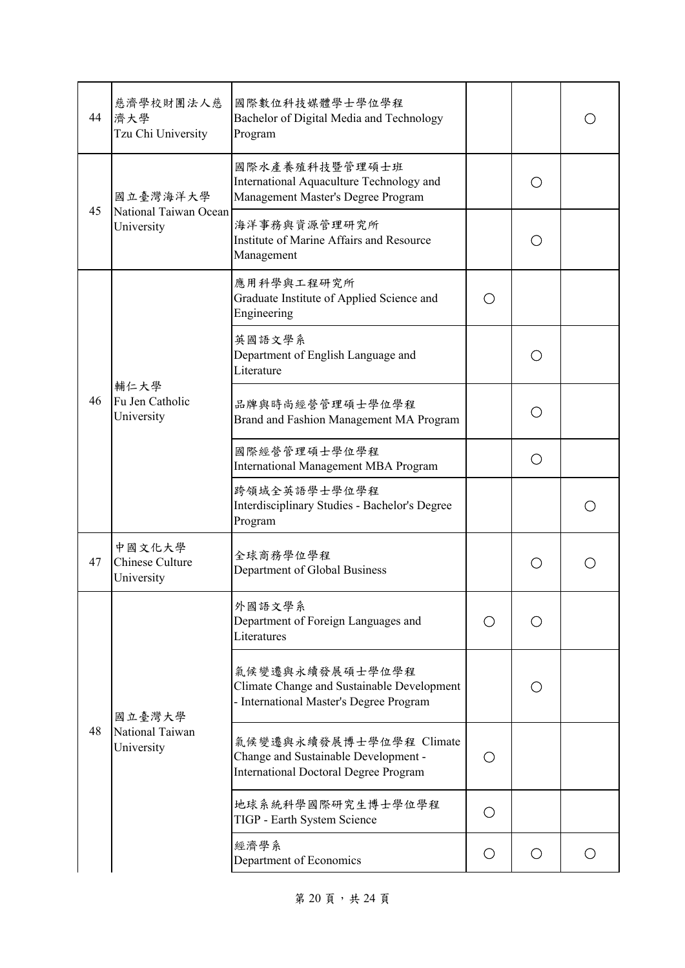| 44 | 慈濟學校財團法人慈<br>濟大學<br>Tzu Chi University  | 國際數位科技媒體學士學位學程<br>Bachelor of Digital Media and Technology<br>Program                                           |     |     |  |
|----|-----------------------------------------|-----------------------------------------------------------------------------------------------------------------|-----|-----|--|
|    | 國立臺灣海洋大學                                | 國際水產養殖科技暨管理碩士班<br>International Aquaculture Technology and<br>Management Master's Degree Program                |     |     |  |
| 45 | National Taiwan Ocean<br>University     | 海洋事務與資源管理研究所<br>Institute of Marine Affairs and Resource<br>Management                                          |     |     |  |
|    |                                         | 應用科學與工程研究所<br>Graduate Institute of Applied Science and<br>Engineering                                          | ◯   |     |  |
|    |                                         | 英國語文學系<br>Department of English Language and<br>Literature                                                      |     | ( ) |  |
| 46 | 輔仁大學<br>Fu Jen Catholic<br>University   | 品牌與時尚經營管理碩士學位學程<br>Brand and Fashion Management MA Program                                                      |     |     |  |
|    |                                         | 國際經營管理碩士學位學程<br><b>International Management MBA Program</b>                                                     |     | Ω   |  |
|    |                                         | 跨領域全英語學士學位學程<br>Interdisciplinary Studies - Bachelor's Degree<br>Program                                        |     |     |  |
| 47 | 中國文化大學<br>Chinese Culture<br>University | 全球商務學位學程<br>Department of Global Business                                                                       |     |     |  |
|    |                                         | 外國語文學系<br>Department of Foreign Languages and<br>Literatures                                                    | ( ) | ( ) |  |
|    | 國立臺灣大學                                  | 氣候變遷與永續發展碩士學位學程<br>Climate Change and Sustainable Development<br>- International Master's Degree Program        |     |     |  |
| 48 | National Taiwan<br>University           | 氣候變遷與永續發展博士學位學程 Climate<br>Change and Sustainable Development -<br><b>International Doctoral Degree Program</b> | ( ) |     |  |
|    |                                         | 地球系統科學國際研究生博士學位學程<br>TIGP - Earth System Science                                                                |     |     |  |
|    |                                         | 經濟學系<br>Department of Economics                                                                                 | O   | Ο   |  |

第 20 頁,共 24 頁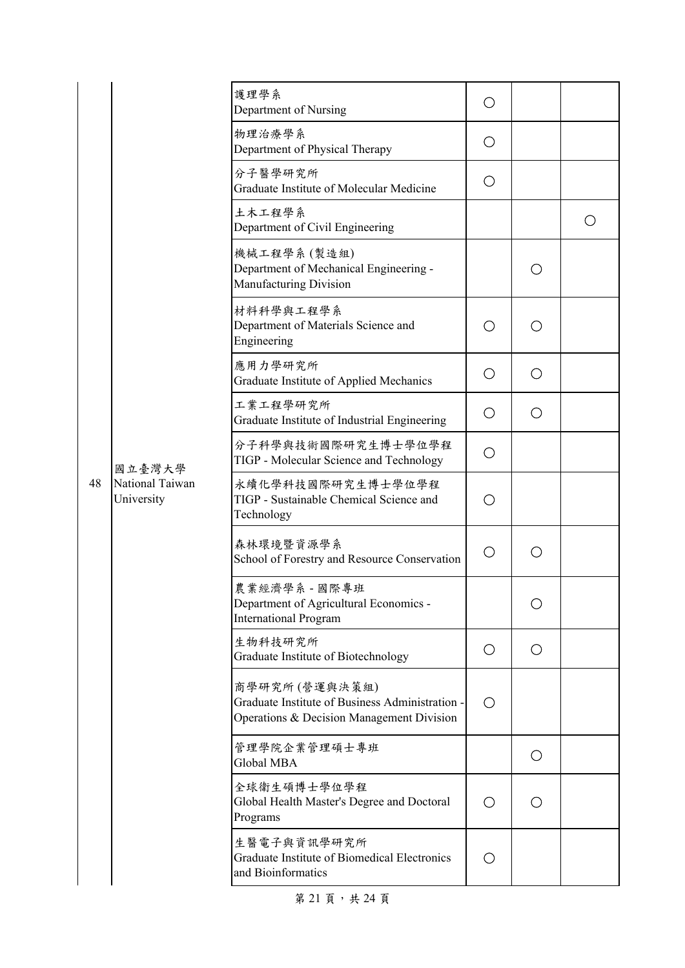|    |                                         | 護理學系<br>Department of Nursing                                                                                 | О |   |   |
|----|-----------------------------------------|---------------------------------------------------------------------------------------------------------------|---|---|---|
|    |                                         | 物理治療學系<br>Department of Physical Therapy                                                                      | O |   |   |
|    |                                         | 分子醫學研究所<br>Graduate Institute of Molecular Medicine                                                           | O |   |   |
|    |                                         | 土木工程學系<br>Department of Civil Engineering                                                                     |   |   | O |
|    |                                         | 機械工程學系(製造組)<br>Department of Mechanical Engineering -<br>Manufacturing Division                               |   | Ο |   |
|    |                                         | 材料科學與工程學系<br>Department of Materials Science and<br>Engineering                                               | О | ∩ |   |
|    |                                         | 應用力學研究所<br>Graduate Institute of Applied Mechanics                                                            | О | O |   |
|    | 國立臺灣大學<br>National Taiwan<br>University | 工業工程學研究所<br>Graduate Institute of Industrial Engineering                                                      | O | O |   |
|    |                                         | 分子科學與技術國際研究生博士學位學程<br>TIGP - Molecular Science and Technology                                                 | О |   |   |
| 48 |                                         | 永續化學科技國際研究生博士學位學程<br>TIGP - Sustainable Chemical Science and<br>Technology                                    | О |   |   |
|    |                                         | 森林環境暨資源學系<br>School of Forestry and Resource Conservation                                                     | O | O |   |
|    |                                         | 農業經濟學系 - 國際專班<br>Department of Agricultural Economics -<br><b>International Program</b>                       |   | O |   |
|    |                                         | 生物科技研究所<br>Graduate Institute of Biotechnology                                                                | O | O |   |
|    |                                         | 商學研究所(營運與決策組)<br>Graduate Institute of Business Administration -<br>Operations & Decision Management Division | ◯ |   |   |
|    |                                         | 管理學院企業管理碩士專班<br>Global MBA                                                                                    |   | O |   |
|    |                                         | 全球衛生碩博士學位學程<br>Global Health Master's Degree and Doctoral<br>Programs                                         | Ο | O |   |
|    |                                         | 生醫電子與資訊學研究所<br>Graduate Institute of Biomedical Electronics<br>and Bioinformatics                             | O |   |   |

第 21 頁,共 24 頁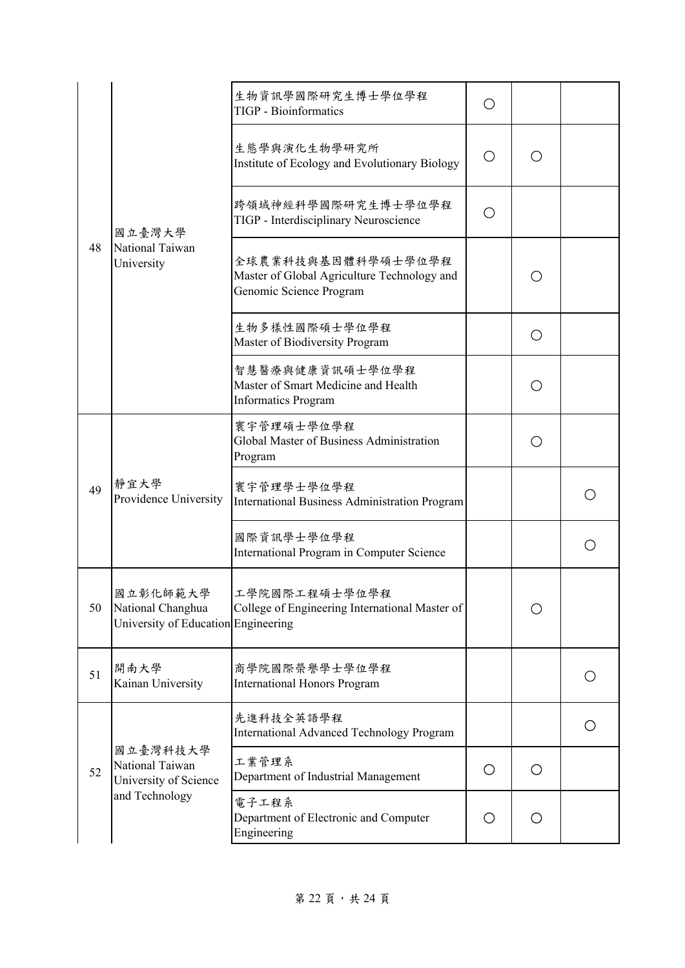|    | 國立臺灣大學<br>National Taiwan<br>University                              | 生物資訊學國際研究生博士學位學程<br><b>TIGP</b> - Bioinformatics                                             | ( ) |     |   |
|----|----------------------------------------------------------------------|----------------------------------------------------------------------------------------------|-----|-----|---|
|    |                                                                      | 生態學與演化生物學研究所<br>Institute of Ecology and Evolutionary Biology                                | O   |     |   |
| 48 |                                                                      | 跨領域神經科學國際研究生博士學位學程<br>TIGP - Interdisciplinary Neuroscience                                  | ( ) |     |   |
|    |                                                                      | 全球農業科技與基因體科學碩士學位學程<br>Master of Global Agriculture Technology and<br>Genomic Science Program |     | ( ) |   |
|    |                                                                      | 生物多樣性國際碩士學位學程<br>Master of Biodiversity Program                                              |     | ◯   |   |
|    |                                                                      | 智慧醫療與健康資訊碩士學位學程<br>Master of Smart Medicine and Health<br><b>Informatics Program</b>         |     | ( ) |   |
|    | 靜宜大學<br>Providence University                                        | 寰宇管理碩士學位學程<br>Global Master of Business Administration<br>Program                            |     |     |   |
| 49 |                                                                      | 寰宇管理學士學位學程<br><b>International Business Administration Program</b>                           |     |     |   |
|    |                                                                      | 國際資訊學士學位學程<br>International Program in Computer Science                                      |     |     |   |
| 50 | 國立彰化師範大學<br>National Changhua<br>University of Education Engineering | 工學院國際工程碩士學位學程<br>College of Engineering International Master of                              |     | O   |   |
| 51 | 開南大學<br>Kainan University                                            | 商學院國際榮譽學士學位學程<br><b>International Honors Program</b>                                         |     |     | O |
|    |                                                                      | 先進科技全英語學程<br><b>International Advanced Technology Program</b>                                |     |     | Ο |
| 52 | 國立臺灣科技大學<br>National Taiwan<br>University of Science                 | 工業管理系<br>Department of Industrial Management                                                 | О   | О   |   |
|    | and Technology                                                       | 電子工程系<br>Department of Electronic and Computer<br>Engineering                                | О   | O   |   |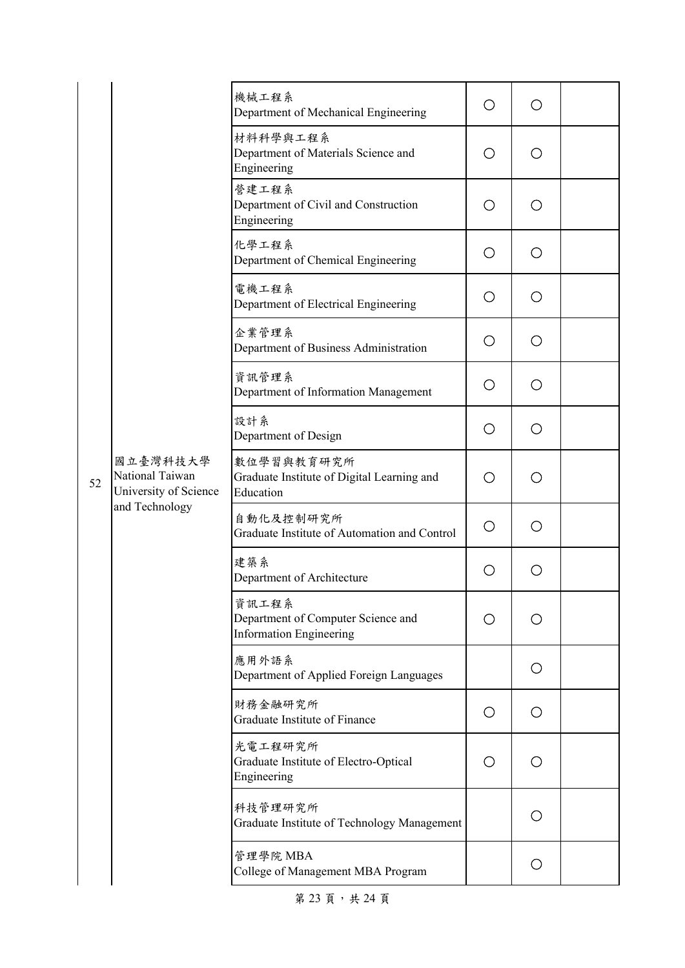|    |                                                                        | 機械工程系<br>Department of Mechanical Engineering                                 | O | ◯   |  |
|----|------------------------------------------------------------------------|-------------------------------------------------------------------------------|---|-----|--|
|    |                                                                        | 材料科學與工程系<br>Department of Materials Science and<br>Engineering                | О | Ο   |  |
|    |                                                                        | 營建工程系<br>Department of Civil and Construction<br>Engineering                  | О | О   |  |
|    |                                                                        | 化學工程系<br>Department of Chemical Engineering                                   | О | О   |  |
|    |                                                                        | 電機工程系<br>Department of Electrical Engineering                                 | O | О   |  |
|    |                                                                        | 企業管理系<br>Department of Business Administration                                | О | O   |  |
|    |                                                                        | 資訊管理系<br>Department of Information Management                                 | О | О   |  |
|    | 國立臺灣科技大學<br>National Taiwan<br>University of Science<br>and Technology | 設計系<br>Department of Design                                                   | О | Ο   |  |
| 52 |                                                                        | 數位學習與教育研究所<br>Graduate Institute of Digital Learning and<br>Education         | Ω | Ο   |  |
|    |                                                                        | 自動化及控制研究所<br>Graduate Institute of Automation and Control                     | O | Ο   |  |
|    |                                                                        | 建築系<br>Department of Architecture                                             | O | Ο   |  |
|    |                                                                        | 資訊工程系<br>Department of Computer Science and<br><b>Information Engineering</b> | Ο | ( ) |  |
|    |                                                                        | 應用外語系<br>Department of Applied Foreign Languages                              |   | О   |  |
|    |                                                                        | 財務金融研究所<br>Graduate Institute of Finance                                      | O | O   |  |
|    |                                                                        | 光電工程研究所<br>Graduate Institute of Electro-Optical<br>Engineering               | O | Ο   |  |
|    |                                                                        | 科技管理研究所<br>Graduate Institute of Technology Management                        |   | О   |  |
|    |                                                                        | 管理學院 MBA<br>College of Management MBA Program                                 |   | О   |  |

第 23 頁, 共 24 頁